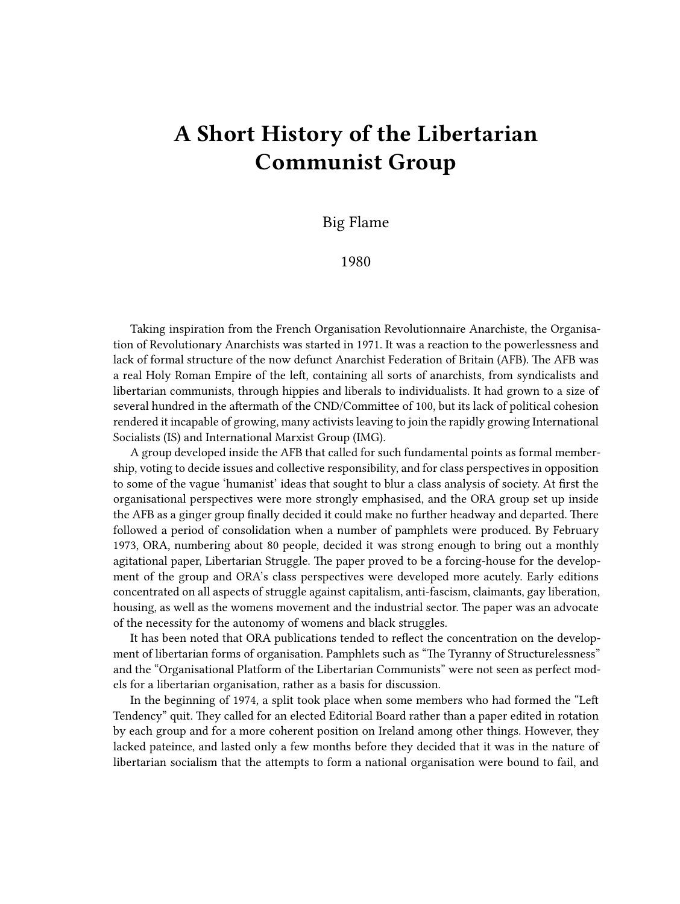## **A Short History of the Libertarian Communist Group**

Big Flame

1980

Taking inspiration from the French Organisation Revolutionnaire Anarchiste, the Organisation of Revolutionary Anarchists was started in 1971. It was a reaction to the powerlessness and lack of formal structure of the now defunct Anarchist Federation of Britain (AFB). The AFB was a real Holy Roman Empire of the left, containing all sorts of anarchists, from syndicalists and libertarian communists, through hippies and liberals to individualists. It had grown to a size of several hundred in the aftermath of the CND/Committee of 100, but its lack of political cohesion rendered it incapable of growing, many activists leaving to join the rapidly growing International Socialists (IS) and International Marxist Group (IMG).

A group developed inside the AFB that called for such fundamental points as formal membership, voting to decide issues and collective responsibility, and for class perspectives in opposition to some of the vague 'humanist' ideas that sought to blur a class analysis of society. At first the organisational perspectives were more strongly emphasised, and the ORA group set up inside the AFB as a ginger group finally decided it could make no further headway and departed. There followed a period of consolidation when a number of pamphlets were produced. By February 1973, ORA, numbering about 80 people, decided it was strong enough to bring out a monthly agitational paper, Libertarian Struggle. The paper proved to be a forcing-house for the development of the group and ORA's class perspectives were developed more acutely. Early editions concentrated on all aspects of struggle against capitalism, anti-fascism, claimants, gay liberation, housing, as well as the womens movement and the industrial sector. The paper was an advocate of the necessity for the autonomy of womens and black struggles.

It has been noted that ORA publications tended to reflect the concentration on the development of libertarian forms of organisation. Pamphlets such as "The Tyranny of Structurelessness" and the "Organisational Platform of the Libertarian Communists" were not seen as perfect models for a libertarian organisation, rather as a basis for discussion.

In the beginning of 1974, a split took place when some members who had formed the "Left Tendency" quit. They called for an elected Editorial Board rather than a paper edited in rotation by each group and for a more coherent position on Ireland among other things. However, they lacked pateince, and lasted only a few months before they decided that it was in the nature of libertarian socialism that the attempts to form a national organisation were bound to fail, and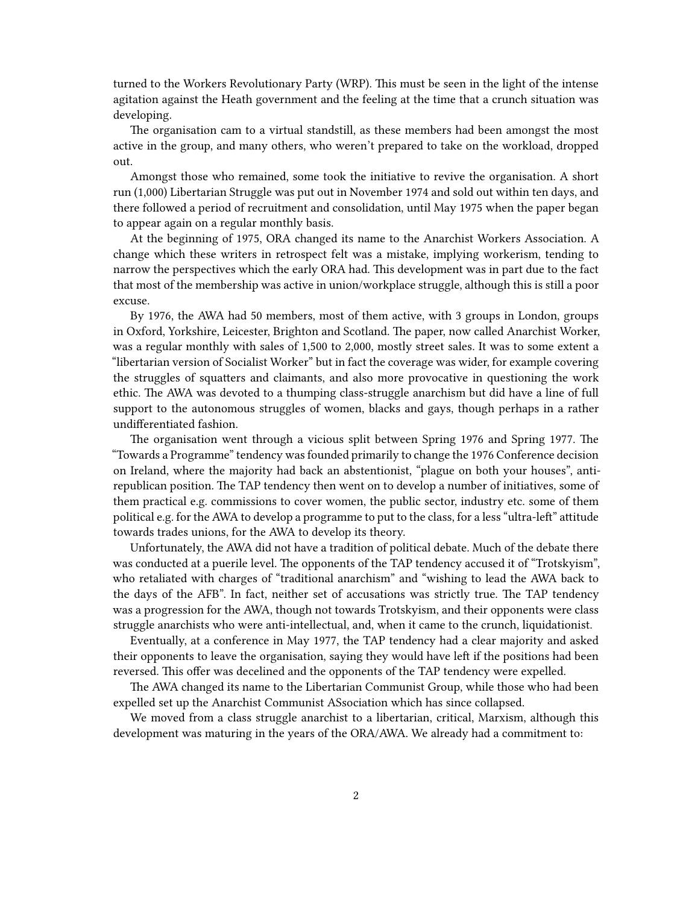turned to the Workers Revolutionary Party (WRP). This must be seen in the light of the intense agitation against the Heath government and the feeling at the time that a crunch situation was developing.

The organisation cam to a virtual standstill, as these members had been amongst the most active in the group, and many others, who weren't prepared to take on the workload, dropped out.

Amongst those who remained, some took the initiative to revive the organisation. A short run (1,000) Libertarian Struggle was put out in November 1974 and sold out within ten days, and there followed a period of recruitment and consolidation, until May 1975 when the paper began to appear again on a regular monthly basis.

At the beginning of 1975, ORA changed its name to the Anarchist Workers Association. A change which these writers in retrospect felt was a mistake, implying workerism, tending to narrow the perspectives which the early ORA had. This development was in part due to the fact that most of the membership was active in union/workplace struggle, although this is still a poor excuse.

By 1976, the AWA had 50 members, most of them active, with 3 groups in London, groups in Oxford, Yorkshire, Leicester, Brighton and Scotland. The paper, now called Anarchist Worker, was a regular monthly with sales of 1,500 to 2,000, mostly street sales. It was to some extent a "libertarian version of Socialist Worker" but in fact the coverage was wider, for example covering the struggles of squatters and claimants, and also more provocative in questioning the work ethic. The AWA was devoted to a thumping class-struggle anarchism but did have a line of full support to the autonomous struggles of women, blacks and gays, though perhaps in a rather undifferentiated fashion.

The organisation went through a vicious split between Spring 1976 and Spring 1977. The "Towards a Programme" tendency was founded primarily to change the 1976 Conference decision on Ireland, where the majority had back an abstentionist, "plague on both your houses", antirepublican position. The TAP tendency then went on to develop a number of initiatives, some of them practical e.g. commissions to cover women, the public sector, industry etc. some of them political e.g. for the AWA to develop a programme to put to the class, for a less "ultra-left" attitude towards trades unions, for the AWA to develop its theory.

Unfortunately, the AWA did not have a tradition of political debate. Much of the debate there was conducted at a puerile level. The opponents of the TAP tendency accused it of "Trotskyism", who retaliated with charges of "traditional anarchism" and "wishing to lead the AWA back to the days of the AFB". In fact, neither set of accusations was strictly true. The TAP tendency was a progression for the AWA, though not towards Trotskyism, and their opponents were class struggle anarchists who were anti-intellectual, and, when it came to the crunch, liquidationist.

Eventually, at a conference in May 1977, the TAP tendency had a clear majority and asked their opponents to leave the organisation, saying they would have left if the positions had been reversed. This offer was decelined and the opponents of the TAP tendency were expelled.

The AWA changed its name to the Libertarian Communist Group, while those who had been expelled set up the Anarchist Communist ASsociation which has since collapsed.

We moved from a class struggle anarchist to a libertarian, critical, Marxism, although this development was maturing in the years of the ORA/AWA. We already had a commitment to: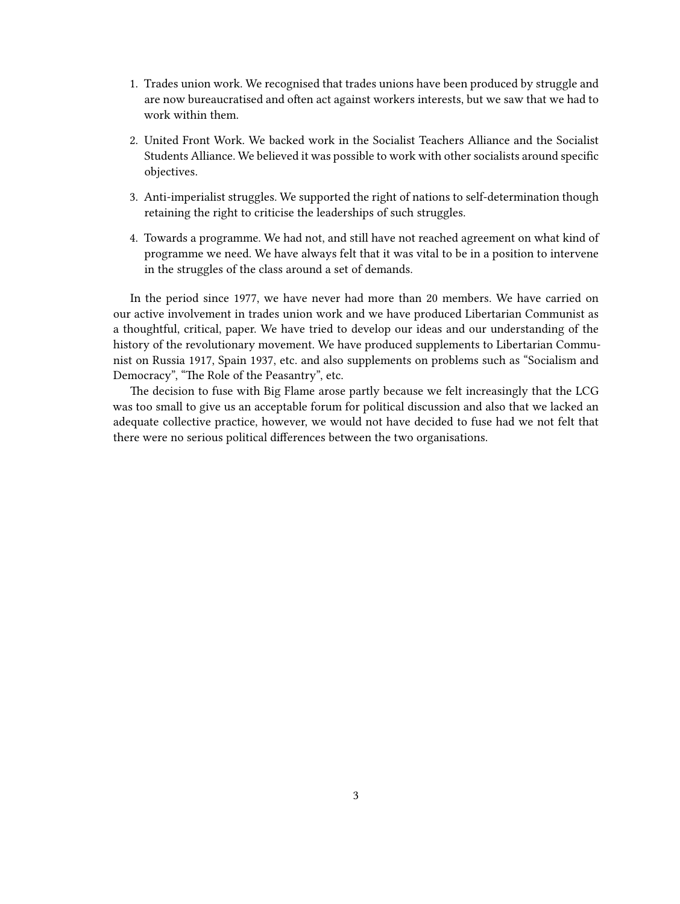- 1. Trades union work. We recognised that trades unions have been produced by struggle and are now bureaucratised and often act against workers interests, but we saw that we had to work within them.
- 2. United Front Work. We backed work in the Socialist Teachers Alliance and the Socialist Students Alliance. We believed it was possible to work with other socialists around specific objectives.
- 3. Anti-imperialist struggles. We supported the right of nations to self-determination though retaining the right to criticise the leaderships of such struggles.
- 4. Towards a programme. We had not, and still have not reached agreement on what kind of programme we need. We have always felt that it was vital to be in a position to intervene in the struggles of the class around a set of demands.

In the period since 1977, we have never had more than 20 members. We have carried on our active involvement in trades union work and we have produced Libertarian Communist as a thoughtful, critical, paper. We have tried to develop our ideas and our understanding of the history of the revolutionary movement. We have produced supplements to Libertarian Communist on Russia 1917, Spain 1937, etc. and also supplements on problems such as "Socialism and Democracy", "The Role of the Peasantry", etc.

The decision to fuse with Big Flame arose partly because we felt increasingly that the LCG was too small to give us an acceptable forum for political discussion and also that we lacked an adequate collective practice, however, we would not have decided to fuse had we not felt that there were no serious political differences between the two organisations.